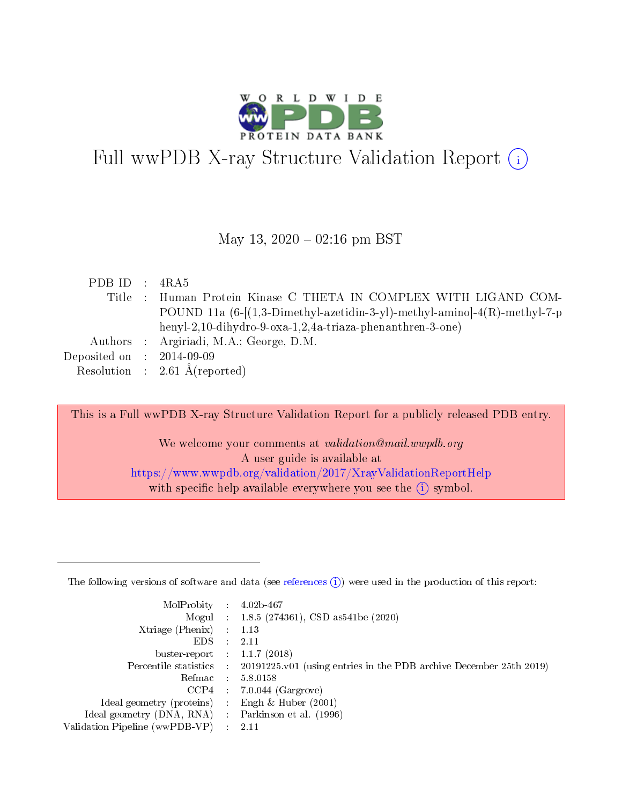

# Full wwPDB X-ray Structure Validation Report  $(i)$

#### May 13,  $2020 - 02:16$  pm BST

| PDB ID : $4RA5$             |                                                                            |
|-----------------------------|----------------------------------------------------------------------------|
|                             | Title : Human Protein Kinase C THETA IN COMPLEX WITH LIGAND COM-           |
|                             | POUND 11a $(6-[1,3-Dimethyl-azetidin-3-y])$ -methyl-amino]-4(R)-methyl-7-p |
|                             | henyl-2,10-dihydro-9-oxa-1,2,4a-triaza-phenanthren-3-one)                  |
|                             | Authors : Argiriadi, M.A.; George, D.M.                                    |
| Deposited on : $2014-09-09$ |                                                                            |
|                             | Resolution : $2.61 \text{ Å}$ (reported)                                   |

This is a Full wwPDB X-ray Structure Validation Report for a publicly released PDB entry. We welcome your comments at validation@mail.wwpdb.org

A user guide is available at <https://www.wwpdb.org/validation/2017/XrayValidationReportHelp> with specific help available everywhere you see the  $(i)$  symbol.

The following versions of software and data (see [references](https://www.wwpdb.org/validation/2017/XrayValidationReportHelp#references)  $(1)$ ) were used in the production of this report:

| MolProbity : 4.02b-467         |     |                                                                                            |
|--------------------------------|-----|--------------------------------------------------------------------------------------------|
|                                |     | Mogul : 1.8.5 (274361), CSD as 541be (2020)                                                |
| $X$ triage (Phenix) :          |     | 1.13                                                                                       |
| EDS.                           |     | 2.11                                                                                       |
| buster-report : $1.1.7$ (2018) |     |                                                                                            |
|                                |     | Percentile statistics : 20191225.v01 (using entries in the PDB archive December 25th 2019) |
| Refmac :                       |     | 5.8.0158                                                                                   |
| CCP4                           |     | $7.0.044$ (Gargrove)                                                                       |
| Ideal geometry (proteins) :    |     | Engh $\&$ Huber (2001)                                                                     |
| Ideal geometry (DNA, RNA) :    |     | Parkinson et al. (1996)                                                                    |
| Validation Pipeline (wwPDB-VP) | -11 | 2.11                                                                                       |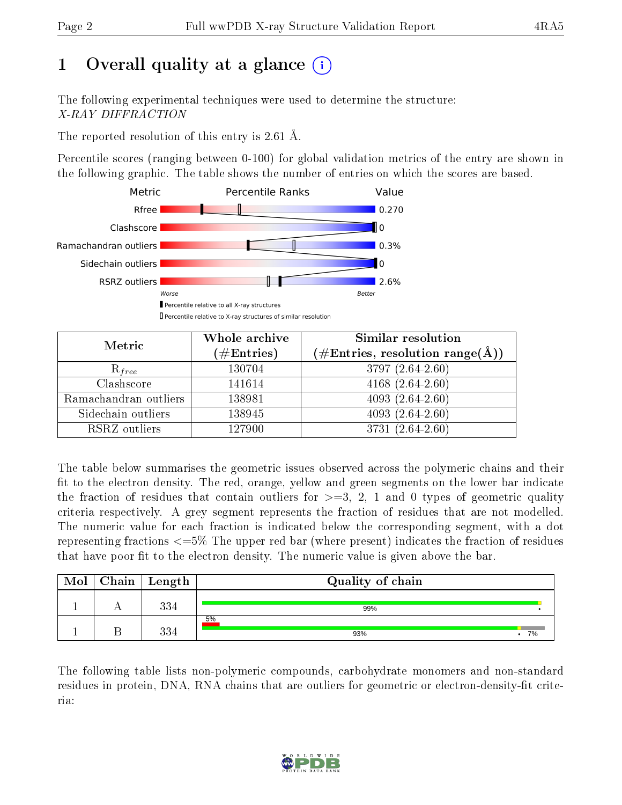# 1 [O](https://www.wwpdb.org/validation/2017/XrayValidationReportHelp#overall_quality)verall quality at a glance (i)

The following experimental techniques were used to determine the structure: X-RAY DIFFRACTION

The reported resolution of this entry is 2.61 Å.

Percentile scores (ranging between 0-100) for global validation metrics of the entry are shown in the following graphic. The table shows the number of entries on which the scores are based.



| Metric                | Whole archive<br>$(\#\text{Entries})$ | Similar resolution<br>$(\#\text{Entries}, \text{resolution range}(\text{\AA}))$ |
|-----------------------|---------------------------------------|---------------------------------------------------------------------------------|
| $R_{free}$            | 130704                                | 3797 (2.64-2.60)                                                                |
| Clashscore            | 141614                                | 4168 $(2.64-2.60)$                                                              |
| Ramachandran outliers | 138981                                | $4093(2.64-2.60)$                                                               |
| Sidechain outliers    | 138945                                | $4093(2.64-2.60)$                                                               |
| RSRZ outliers         | 127900                                | 3731 (2.64-2.60)                                                                |

The table below summarises the geometric issues observed across the polymeric chains and their fit to the electron density. The red, orange, yellow and green segments on the lower bar indicate the fraction of residues that contain outliers for  $>=3, 2, 1$  and 0 types of geometric quality criteria respectively. A grey segment represents the fraction of residues that are not modelled. The numeric value for each fraction is indicated below the corresponding segment, with a dot representing fractions <=5% The upper red bar (where present) indicates the fraction of residues that have poor fit to the electron density. The numeric value is given above the bar.

| Mol | $Chain \  Length$ | Quality of chain |    |  |  |
|-----|-------------------|------------------|----|--|--|
|     | 334               | 99%              |    |  |  |
|     | 334               | 5%<br>93%        | 7% |  |  |

The following table lists non-polymeric compounds, carbohydrate monomers and non-standard residues in protein, DNA, RNA chains that are outliers for geometric or electron-density-fit criteria:

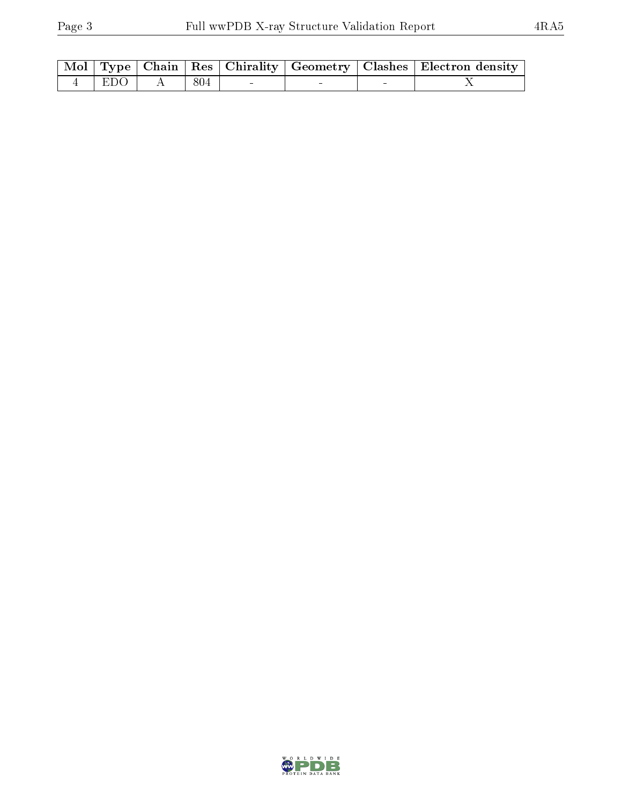|           |       |  | Mol   Type   Chain   Res   Chirality   Geometry   Clashes   Electron density |
|-----------|-------|--|------------------------------------------------------------------------------|
| $4$   EDO | . 804 |  |                                                                              |

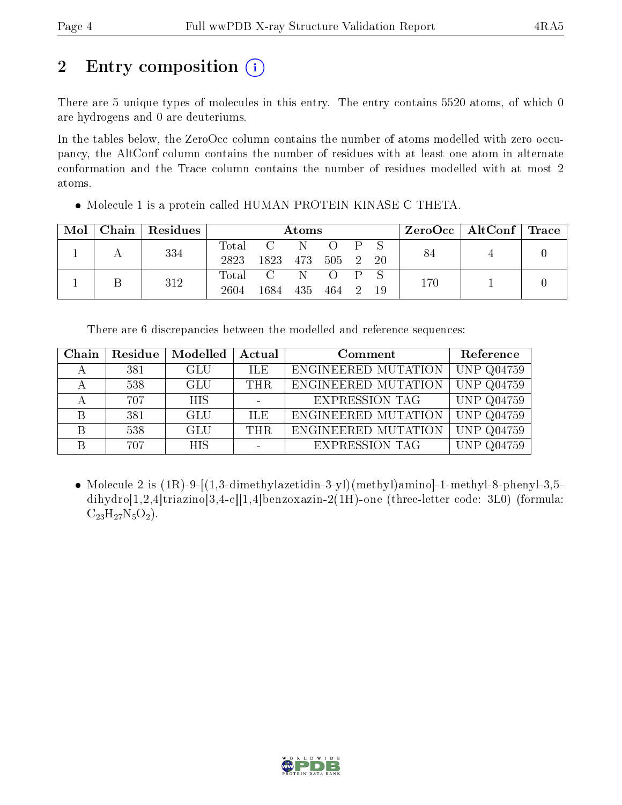# 2 Entry composition  $\left( \cdot \right)$

There are 5 unique types of molecules in this entry. The entry contains 5520 atoms, of which 0 are hydrogens and 0 are deuteriums.

In the tables below, the ZeroOcc column contains the number of atoms modelled with zero occupancy, the AltConf column contains the number of residues with at least one atom in alternate conformation and the Trace column contains the number of residues modelled with at most 2 atoms.

| Mol | $\Gamma$ Chain   Residues | Atoms |             |           |  |              | $\text{ZeroOcc}$   AltConf   Trace |     |  |  |
|-----|---------------------------|-------|-------------|-----------|--|--------------|------------------------------------|-----|--|--|
|     | 334                       | Total | $C = N$     |           |  |              | $\overline{P}$ $S$                 | 84  |  |  |
|     |                           | 2823  | 1823        | 473 505 2 |  |              | 20                                 |     |  |  |
|     | 312                       |       | Total C N O |           |  | $\mathbf{P}$ |                                    | 170 |  |  |
|     |                           | 2604  | 1684        | 435 464 2 |  |              | -19                                |     |  |  |

• Molecule 1 is a protein called HUMAN PROTEIN KINASE C THETA.

There are 6 discrepancies between the modelled and reference sequences:

| Chain        | Residue | Modelled   | Actual     | Comment               | Reference              |
|--------------|---------|------------|------------|-----------------------|------------------------|
|              | 381     | <b>GLU</b> | ILE.       | ENGINEERED MUTATION   | <b>UNP Q04759</b>      |
|              | 538     | <b>GLU</b> | THR.       | ENGINEERED MUTATION   | <b>UNP Q04759</b>      |
|              | 707     | <b>HIS</b> |            | <b>EXPRESSION TAG</b> | <b>UNP Q04759</b>      |
| <sub>R</sub> | 381     | <b>GLU</b> | <b>ILE</b> | ENGINEERED MUTATION   | <b>UNP Q04759</b>      |
| <sup>B</sup> | 538     | <b>GLU</b> | THR.       | ENGINEERED MUTATION   | $\overline{UNP$ Q04759 |
|              | 707     | <b>HIS</b> |            | <b>EXPRESSION TAG</b> | <b>UNP Q04759</b>      |

• Molecule 2 is  $(1R)-9-[(1,3-dimethylazetidin-3-y])(methyl)aminol-1-methyl-8-phenyl-3,5$ dihydro[1,2,4]triazino[3,4-c][1,4]benzoxazin-2(1H)-one (three-letter code: 3L0) (formula:  $C_{23}H_{27}N_5O_2$ .

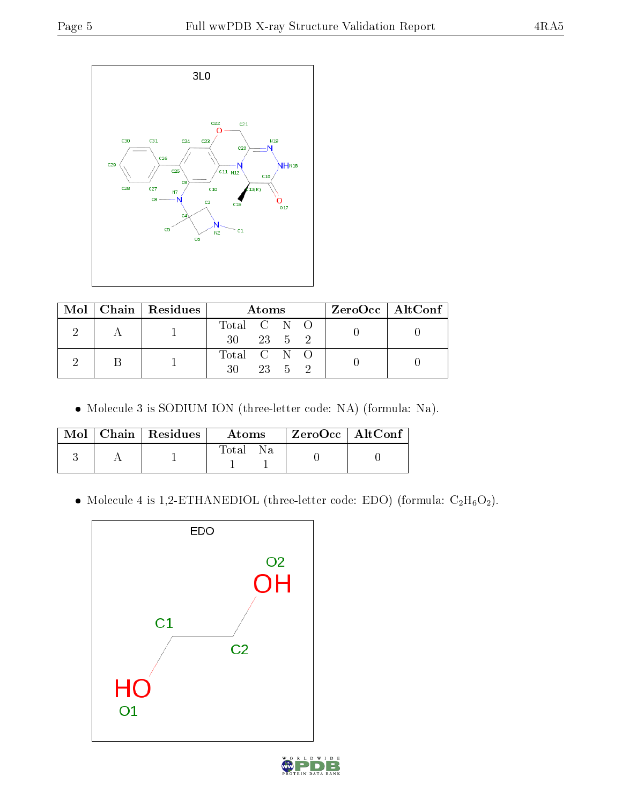

|  | Mol   Chain   Residues | <b>Atoms</b>      |        |        | ZeroOcc   AltConf |  |
|--|------------------------|-------------------|--------|--------|-------------------|--|
|  |                        | Total C N O<br>30 | 23 5 2 |        |                   |  |
|  |                        | Total C N O<br>30 |        | 23 5 2 |                   |  |

Molecule 3 is SODIUM ION (three-letter code: NA) (formula: Na).

|  | $Mol$   Chain   Residues | Atoms        | ZeroOcc   AltConf |  |
|--|--------------------------|--------------|-------------------|--|
|  |                          | Total<br>Na. |                   |  |

 $\bullet$  Molecule 4 is 1,2-ETHANEDIOL (three-letter code: EDO) (formula:  $\rm{C_2H_6O_2}).$ 



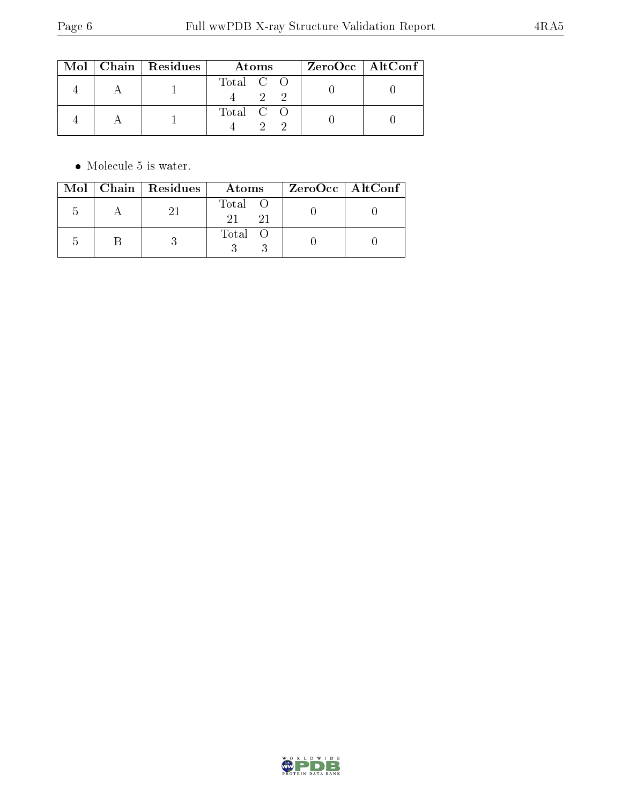|  | $Mol$   Chain   Residues | Atoms     | ZeroOcc   AltConf |
|--|--------------------------|-----------|-------------------|
|  |                          | Total C O |                   |
|  |                          | Total C O |                   |

 $\bullet\,$  Molecule 5 is water.

|  | $Mol$   Chain   Residues | Atoms         | ZeroOcc   AltConf |
|--|--------------------------|---------------|-------------------|
|  |                          | Total O<br>21 |                   |
|  |                          | Total O       |                   |

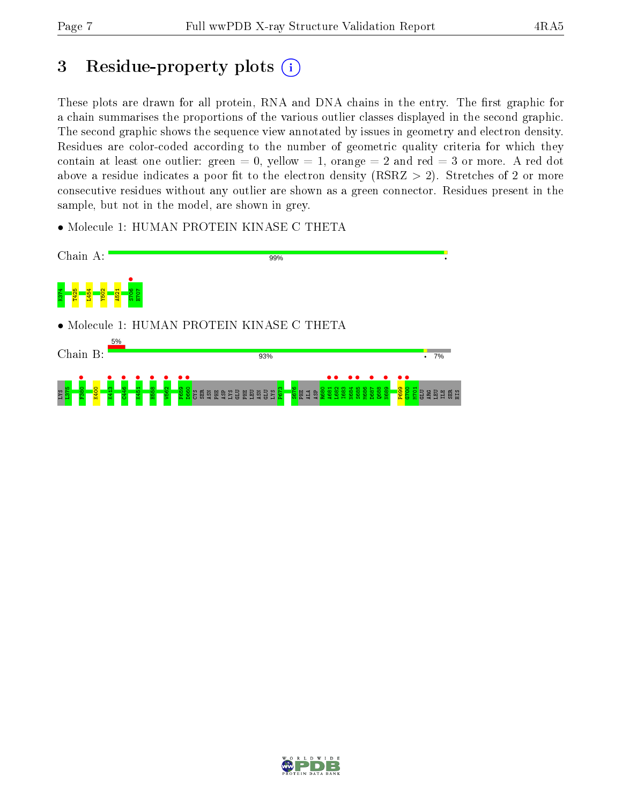# 3 Residue-property plots  $(i)$

These plots are drawn for all protein, RNA and DNA chains in the entry. The first graphic for a chain summarises the proportions of the various outlier classes displayed in the second graphic. The second graphic shows the sequence view annotated by issues in geometry and electron density. Residues are color-coded according to the number of geometric quality criteria for which they contain at least one outlier: green  $= 0$ , yellow  $= 1$ , orange  $= 2$  and red  $= 3$  or more. A red dot above a residue indicates a poor fit to the electron density (RSRZ  $> 2$ ). Stretches of 2 or more consecutive residues without any outlier are shown as a green connector. Residues present in the sample, but not in the model, are shown in grey.

• Molecule 1: HUMAN PROTEIN KINASE C THETA



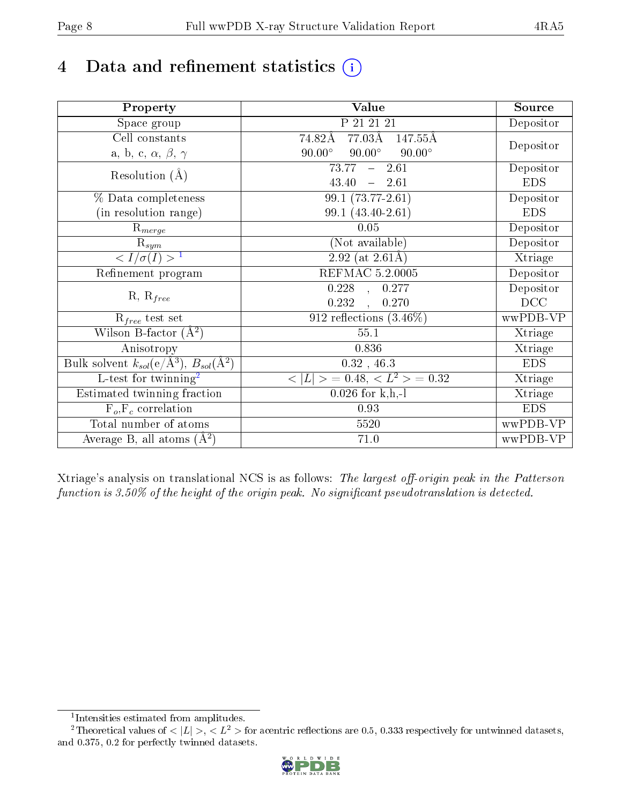# 4 Data and refinement statistics  $(i)$

| Property                                                             | Value                                            | Source     |
|----------------------------------------------------------------------|--------------------------------------------------|------------|
| Space group                                                          | P 21 21 21                                       | Depositor  |
| Cell constants                                                       | 77.03Å<br>74.82Å<br>147.55Å                      |            |
| a, b, c, $\alpha$ , $\beta$ , $\gamma$                               | $90.00^\circ$<br>$90.00^\circ$<br>$90.00^\circ$  | Depositor  |
| Resolution $(A)$                                                     | 2.61<br>73.77<br>$\frac{1}{2}$ and $\frac{1}{2}$ | Depositor  |
|                                                                      | 43.40<br>$-2.61$                                 | <b>EDS</b> |
| % Data completeness                                                  | $99.1(73.77-2.61)$                               | Depositor  |
| (in resolution range)                                                | 99.1 (43.40-2.61)                                | <b>EDS</b> |
| $\mathrm{R}_{merge}$                                                 | 0.05                                             | Depositor  |
| $\mathrm{R}_{sym}$                                                   | (Not available)                                  | Depositor  |
| $\sqrt{I/\sigma(I)} > 1$                                             | $2.92$ (at 2.61Å)                                | Xtriage    |
| Refinement program                                                   | <b>REFMAC 5.2.0005</b>                           | Depositor  |
|                                                                      | $0.228$ , $0.277$                                | Depositor  |
| $R, R_{free}$                                                        | 0.232<br>0.270<br>$\mathbf{A}$                   | DCC        |
| $R_{free}$ test set                                                  | 912 reflections $(3.46\%)$                       | wwPDB-VP   |
| Wilson B-factor $(A^2)$                                              | 55.1                                             | Xtriage    |
| Anisotropy                                                           | 0.836                                            | Xtriage    |
| Bulk solvent $k_{sol}(e/\mathring{A}^3)$ , $B_{sol}(\mathring{A}^2)$ | $0.32$ , 46.3                                    | <b>EDS</b> |
| $\overline{L-test for}$ twinning <sup>2</sup>                        | $< L >$ = 0.48, $< L2$ = 0.32                    | Xtriage    |
| Estimated twinning fraction                                          | $0.026$ for k,h,-l                               | Xtriage    |
| $F_o, F_c$ correlation                                               | 0.93                                             | <b>EDS</b> |
| Total number of atoms                                                | 5520                                             | wwPDB-VP   |
| Average B, all atoms $(A^2)$                                         | 71.0                                             | wwPDB-VP   |

Xtriage's analysis on translational NCS is as follows: The largest off-origin peak in the Patterson function is  $3.50\%$  of the height of the origin peak. No significant pseudotranslation is detected.

<sup>&</sup>lt;sup>2</sup>Theoretical values of  $\langle |L| \rangle$ ,  $\langle L^2 \rangle$  for acentric reflections are 0.5, 0.333 respectively for untwinned datasets, and 0.375, 0.2 for perfectly twinned datasets.



<span id="page-7-1"></span><span id="page-7-0"></span><sup>1</sup> Intensities estimated from amplitudes.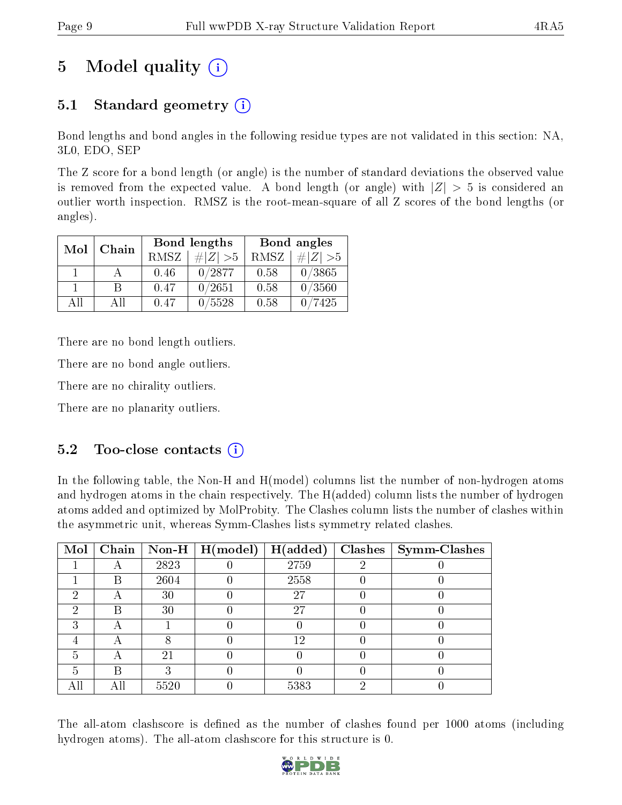# 5 Model quality  $(i)$

## 5.1 Standard geometry  $(i)$

Bond lengths and bond angles in the following residue types are not validated in this section: NA, 3L0, EDO, SEP

The Z score for a bond length (or angle) is the number of standard deviations the observed value is removed from the expected value. A bond length (or angle) with  $|Z| > 5$  is considered an outlier worth inspection. RMSZ is the root-mean-square of all Z scores of the bond lengths (or angles).

| Mol | Chain |      | Bond lengths | Bond angles |             |  |
|-----|-------|------|--------------|-------------|-------------|--|
|     |       | RMSZ | $\# Z  > 5$  | RMSZ        | $\ Z\  > 5$ |  |
|     |       | 0.46 | 0/2877       | 0.58        | 0/3865      |  |
|     | R     | 0.47 | 0/2651       | 0.58        | 0/3560      |  |
| ΔH  | A II  | 0.47 | /5528        | 0.58        | 7425        |  |

There are no bond length outliers.

There are no bond angle outliers.

There are no chirality outliers.

There are no planarity outliers.

### $5.2$  Too-close contacts  $(i)$

In the following table, the Non-H and H(model) columns list the number of non-hydrogen atoms and hydrogen atoms in the chain respectively. The H(added) column lists the number of hydrogen atoms added and optimized by MolProbity. The Clashes column lists the number of clashes within the asymmetric unit, whereas Symm-Clashes lists symmetry related clashes.

|   |   |      | Mol   Chain   Non-H   H(model) | H(added) | $\text{Classes} \mid \text{Symm-Class}$ |
|---|---|------|--------------------------------|----------|-----------------------------------------|
|   |   | 2823 |                                | 2759     |                                         |
|   | В | 2604 |                                | 2558     |                                         |
| റ | Α | 30   |                                | 27       |                                         |
| റ | R | 30   |                                | 27       |                                         |
| ົ | А |      |                                |          |                                         |
|   | A |      |                                | 12       |                                         |
| 5 |   | 21   |                                |          |                                         |
| 5 | R |      |                                |          |                                         |
|   |   | 5520 |                                | 5383     |                                         |

The all-atom clashscore is defined as the number of clashes found per 1000 atoms (including hydrogen atoms). The all-atom clashscore for this structure is 0.

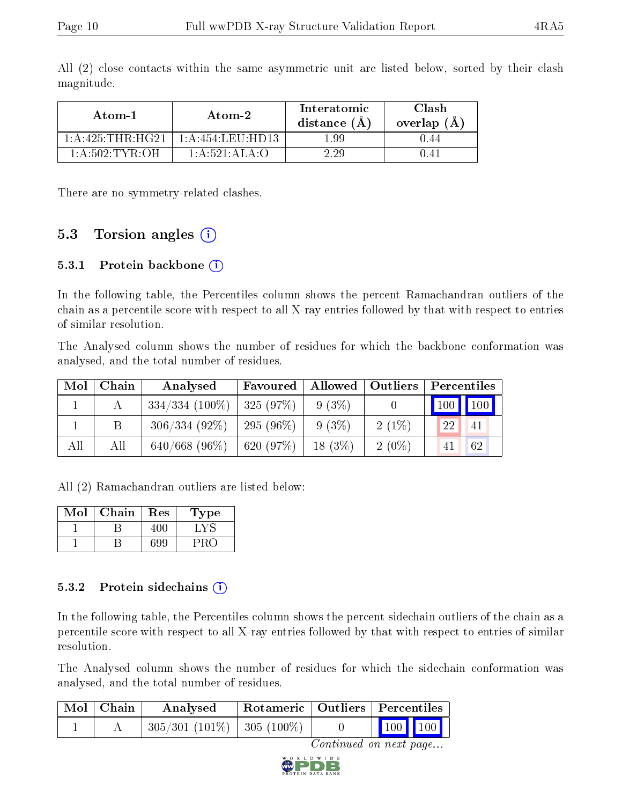| Atom-1              | Atom-2                                             | Interatomic<br>distance $(A)$ | Clash<br>overlap $(A)$ |  |
|---------------------|----------------------------------------------------|-------------------------------|------------------------|--|
| 1: A:425:THR:HG21   | $1:$ A:454:LEU:HD13.                               | 199                           | I 44                   |  |
| $1:$ A:502: TYR: OH | $1 \cdot A \cdot 521 \cdot A \cdot A \cdot \Omega$ |                               |                        |  |

All (2) close contacts within the same asymmetric unit are listed below, sorted by their clash magnitude.

There are no symmetry-related clashes.

### 5.3 Torsion angles (i)

#### 5.3.1 Protein backbone  $(i)$

In the following table, the Percentiles column shows the percent Ramachandran outliers of the chain as a percentile score with respect to all X-ray entries followed by that with respect to entries of similar resolution.

The Analysed column shows the number of residues for which the backbone conformation was analysed, and the total number of residues.

| Mol | Chain | Analysed          | Allowed  <br>Favoured |           | $\mid$ Outliers $\mid$ | Percentiles |                             |  |
|-----|-------|-------------------|-----------------------|-----------|------------------------|-------------|-----------------------------|--|
|     |       | $334/334$ (100\%) | 325(97%)              | $9(3\%)$  |                        |             | $\boxed{100}$ $\boxed{100}$ |  |
|     | Β     | $306/334(92\%)$   | $295(96\%)$           | $9(3\%)$  | $2(1\%)$               | 22          | 41                          |  |
| All | Αll   | $640/668$ (96\%)  | 620 (97%)             | $18(3\%)$ | $2(0\%)$               | 41          | 62                          |  |

All (2) Ramachandran outliers are listed below:

| Mol | Chain | Res | ype |
|-----|-------|-----|-----|
|     |       |     |     |
|     |       | 399 |     |

#### 5.3.2 Protein sidechains  $(i)$

In the following table, the Percentiles column shows the percent sidechain outliers of the chain as a percentile score with respect to all X-ray entries followed by that with respect to entries of similar resolution.

The Analysed column shows the number of residues for which the sidechain conformation was analysed, and the total number of residues.

| $Mol$   Chain | Analysed                        |  | Rotameric   Outliers   Percentiles                                     |  |
|---------------|---------------------------------|--|------------------------------------------------------------------------|--|
|               | $305/301$ (101\%)   305 (100\%) |  | $\begin{array}{ c c c c c }\n\hline\n100 & 100 \\ \hline\n\end{array}$ |  |

Continued on next page...

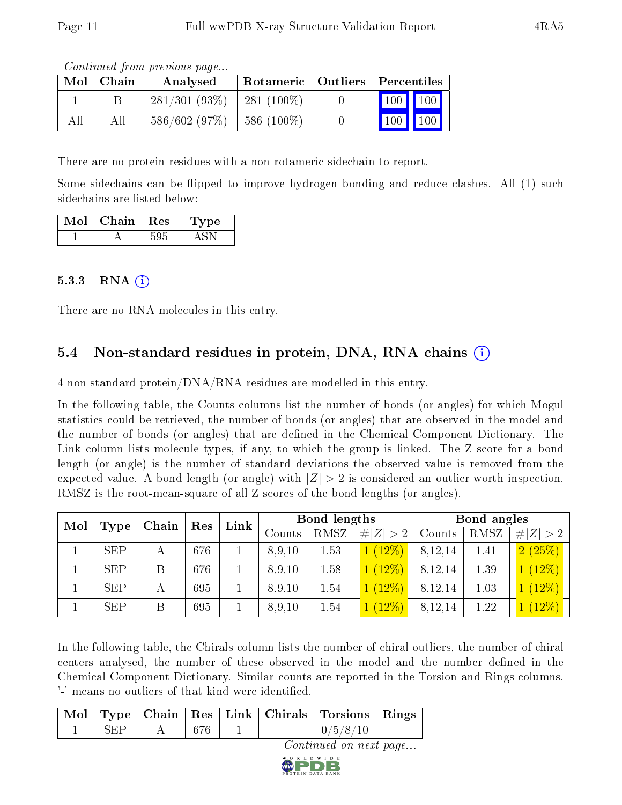Continued from previous page...

| Mol | ⊢Chain | Analysed        | Rotameric   Outliers   Percentiles |  |                              |  |  |
|-----|--------|-----------------|------------------------------------|--|------------------------------|--|--|
|     |        | $281/301(93\%)$ | $281(100\%)$                       |  | 100 100                      |  |  |
|     | All    | 586/602(97%)    | 586 $(100\%)$                      |  | $\mid$ 100 $\mid$ 100 $\mid$ |  |  |

There are no protein residues with a non-rotameric sidechain to report.

Some sidechains can be flipped to improve hydrogen bonding and reduce clashes. All (1) such sidechains are listed below:

| Mol | Chain | $\pm$ Res $^+$ | vpe |
|-----|-------|----------------|-----|
|     |       |                |     |

#### 5.3.3 RNA  $(i)$

There are no RNA molecules in this entry.

### 5.4 Non-standard residues in protein, DNA, RNA chains (i)

4 non-standard protein/DNA/RNA residues are modelled in this entry.

In the following table, the Counts columns list the number of bonds (or angles) for which Mogul statistics could be retrieved, the number of bonds (or angles) that are observed in the model and the number of bonds (or angles) that are defined in the Chemical Component Dictionary. The Link column lists molecule types, if any, to which the group is linked. The Z score for a bond length (or angle) is the number of standard deviations the observed value is removed from the expected value. A bond length (or angle) with  $|Z| > 2$  is considered an outlier worth inspection. RMSZ is the root-mean-square of all Z scores of the bond lengths (or angles).

| Mol |            | Chain | Res | Link |        | Bond lengths |         |         | Bond angles |                 |  |
|-----|------------|-------|-----|------|--------|--------------|---------|---------|-------------|-----------------|--|
|     | Type       |       |     |      | Counts | RMSZ         | Z   > 2 | Counts  | RMSZ        | # $ Z  > 2$     |  |
|     | <b>SEP</b> | А     | 676 |      | 8,9,10 | 1.53         | 1(12%)  | 8,12,14 | 1.41        | 2(25%)          |  |
|     | <b>SEP</b> | Β     | 676 |      | 8,9,10 | 1.58         | (12%)   | 8,12,14 | 1.39        | (12%)           |  |
|     | <b>SEP</b> | А     | 695 |      | 8,9,10 | 1.54         | (12%)   | 8,12,14 | 1.03        | $\sqrt{(12\%)}$ |  |
|     | <b>SEP</b> | Β     | 695 |      | 8,9,10 | 1.54         | $12\%)$ | 8,12,14 | 1.22        | (12%)           |  |

In the following table, the Chirals column lists the number of chiral outliers, the number of chiral centers analysed, the number of these observed in the model and the number defined in the Chemical Component Dictionary. Similar counts are reported in the Torsion and Rings columns. '-' means no outliers of that kind were identified.

|            |     |  | Mol   Type   Chain   Res   Link   Chirals   Torsions   Rings |  |
|------------|-----|--|--------------------------------------------------------------|--|
| <b>SEP</b> | 676 |  | 0/5/8/10                                                     |  |

Continued on next page...

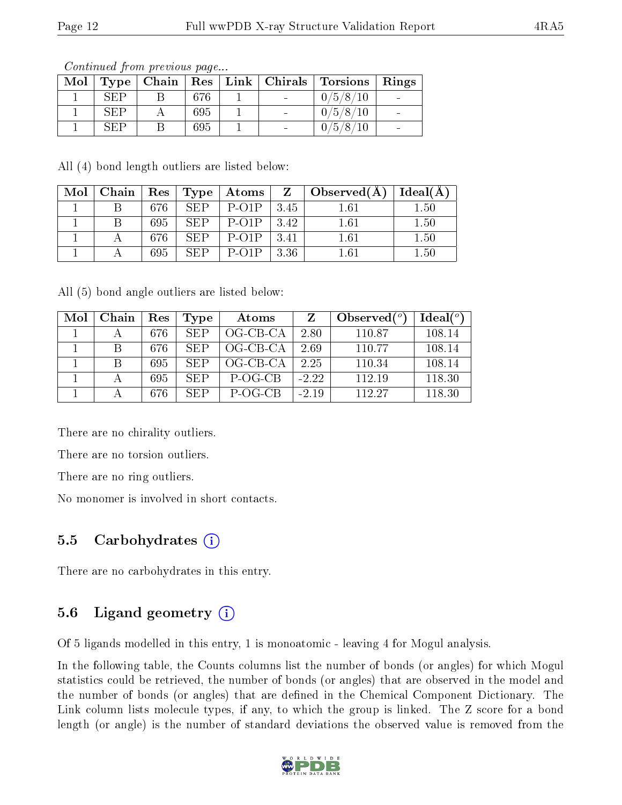|            |     |  | Mol   Type   Chain   Res   Link   Chirals   Torsions   Rings |  |
|------------|-----|--|--------------------------------------------------------------|--|
| SEP        | 676 |  | 0/5/8/10                                                     |  |
| <b>SEP</b> | 695 |  | 0/5/8/10                                                     |  |
| SEP        | 695 |  | 0/5/8/10                                                     |  |

Continued from previous page...

All (4) bond length outliers are listed below:

| Mol | Chain | $\operatorname{Res}$ | Type | $+$ Atoms $+$           |      | $\Box$ Observed(A) | Ideal(A  |
|-----|-------|----------------------|------|-------------------------|------|--------------------|----------|
|     |       | 676                  | SEP  | $P-O1P$                 | 3.45 | $1.61\,$           | 1.50     |
|     |       | 695                  | SEP  | $P-O1P$                 | 3.42 | 1.61               | 1.50     |
|     |       | 676                  | SEP  | $P-O1P$                 | 3.41 | $1.61\,$           | $1.50\,$ |
|     |       | 695                  | SFP  | $P$ -O <sub>1</sub> $P$ | 3.36 | 1.61               | $1.50\,$ |

All (5) bond angle outliers are listed below:

| Mol | Chain | $\operatorname{Res}% \left( \mathcal{N}\right) \equiv\operatorname{Res}(\mathcal{N}_{0},\mathcal{N}_{0})$ | Type       | Atoms      |         | Observed $(°)$ | Ideal $(°)$ |
|-----|-------|-----------------------------------------------------------------------------------------------------------|------------|------------|---------|----------------|-------------|
|     |       | 676                                                                                                       | <b>SEP</b> | OG-CB-CA   | 2.80    | 110.87         | 108.14      |
|     |       | 676                                                                                                       | SEP        | $OG-CB-CA$ | 2.69    | 110.77         | 108.14      |
|     |       | 695                                                                                                       | SEP        | $OG-CB-CA$ | 2.25    | 110.34         | 108.14      |
|     |       | 695                                                                                                       | <b>SEP</b> | P-OG-CB    | $-2.22$ | 112.19         | 118.30      |
|     |       | 676                                                                                                       | <b>SEP</b> | P-OG-CB    | $-2.19$ | 112.27         | 118.30      |

There are no chirality outliers.

There are no torsion outliers.

There are no ring outliers.

No monomer is involved in short contacts.

#### 5.5 Carbohydrates (i)

There are no carbohydrates in this entry.

### 5.6 Ligand geometry  $(i)$

Of 5 ligands modelled in this entry, 1 is monoatomic - leaving 4 for Mogul analysis.

In the following table, the Counts columns list the number of bonds (or angles) for which Mogul statistics could be retrieved, the number of bonds (or angles) that are observed in the model and the number of bonds (or angles) that are defined in the Chemical Component Dictionary. The Link column lists molecule types, if any, to which the group is linked. The Z score for a bond length (or angle) is the number of standard deviations the observed value is removed from the

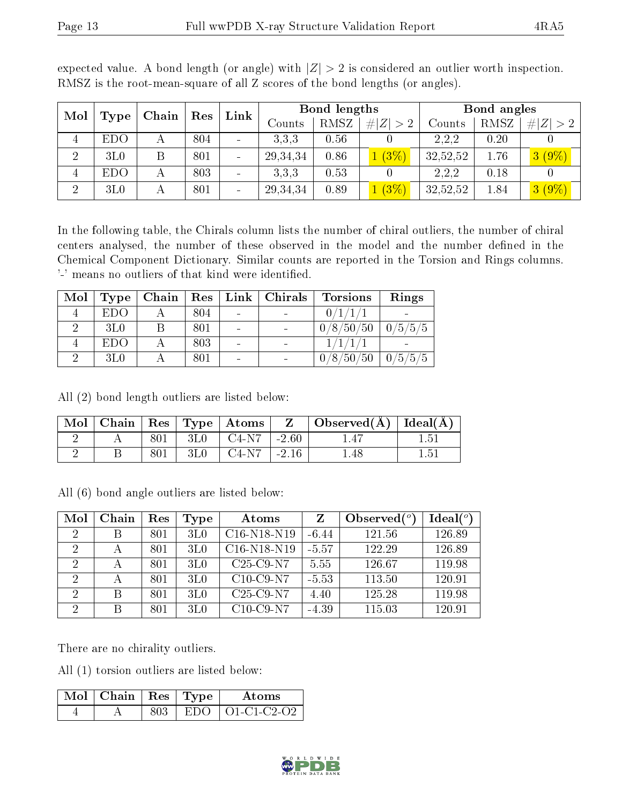| Mol            | Type            | Chain | Res | Link            |            | Bond lengths | Bond angles      |          |      |          |
|----------------|-----------------|-------|-----|-----------------|------------|--------------|------------------|----------|------|----------|
|                |                 |       |     |                 | Counts     | RMSZ         | Z  > 2<br>$\#^1$ | Counts   | RMSZ | Z        |
| 4              | EDO             |       | 804 |                 | 3.3.3      | 0.56         |                  | 2,2,2    | 0.20 |          |
| $\overline{2}$ | 3L <sub>0</sub> |       | 801 | $\qquad \qquad$ | 29, 34, 34 | 0.86         | (3%)             | 32,52,52 | 1.76 | $3(9\%)$ |
| 4              | <b>EDO</b>      |       | 803 |                 | 3,3,3      | 0.53         |                  | 2.2.2    | 0.18 |          |
| $\overline{2}$ | 3L <sub>0</sub> |       | 801 | $\blacksquare$  | 29, 34, 34 | 0.89         | $(3\%)$          | 32,52,52 | 1.84 | $3(9\%)$ |

expected value. A bond length (or angle) with  $|Z| > 2$  is considered an outlier worth inspection. RMSZ is the root-mean-square of all Z scores of the bond lengths (or angles).

In the following table, the Chirals column lists the number of chiral outliers, the number of chiral centers analysed, the number of these observed in the model and the number defined in the Chemical Component Dictionary. Similar counts are reported in the Torsion and Rings columns. '-' means no outliers of that kind were identified.

| Mol | Type            | Chain | $\operatorname{Res}\, \mid$ | Link   Chirals | <b>Torsions</b> | Rings    |
|-----|-----------------|-------|-----------------------------|----------------|-----------------|----------|
|     | <b>EDO</b>      |       | 804                         |                | 0/1/1/1         |          |
|     | 3L <sub>0</sub> |       | 801                         |                | 0/8/50/50       | 0/5/5/5  |
|     | <b>EDO</b>      |       | 803                         |                |                 |          |
|     | 3L <sub>0</sub> |       | 801                         |                | 0/8/50/50       | 10/5/5/5 |

All (2) bond length outliers are listed below:

| Mol |     |                 | $\vert$ Chain $\vert$ Res $\vert$ Type $\vert$ Atoms $\vert$ | $\mathbf{Z}$ | $\vert$ Observed( $\AA$ ) $\vert$ Ideal( $\AA$ ) |     |
|-----|-----|-----------------|--------------------------------------------------------------|--------------|--------------------------------------------------|-----|
|     | 801 | 3L0             | $C4-N7$                                                      | $-2.60$      | l .47                                            |     |
|     | 801 | 3L <sub>0</sub> | $C4-N7$                                                      | $-2.16$      | . 48                                             | -51 |

All (6) bond angle outliers are listed below:

| Mol            | Chain | Res | Type            | Atoms         | Z       | Observed $(°)$ | Ideal $(°)$ |
|----------------|-------|-----|-----------------|---------------|---------|----------------|-------------|
| $\overline{2}$ |       | 801 | 3L <sub>0</sub> | $C16-N18-N19$ | $-6.44$ | 121.56         | 126.89      |
| 2              |       | 801 | 3L <sub>0</sub> | $C16-N18-N19$ | $-5.57$ | 122.29         | 126.89      |
| $\mathcal{D}$  | А     | 801 | 3L <sub>0</sub> | $C25-C9-N7$   | 5.55    | 126.67         | 119.98      |
| $\overline{2}$ | А     | 801 | 3L <sub>0</sub> | $C10$ -C9-N7  | $-5.53$ | 113.50         | 120.91      |
| $\overline{2}$ | B     | 801 | 3L <sub>0</sub> | $C25-C9-N7$   | 4.40    | 125.28         | 119.98      |
| $\overline{2}$ | В     | 801 | 3L <sub>0</sub> | $C10-C9-N7$   | $-4.39$ | 115.03         | 120.91      |

There are no chirality outliers.

All (1) torsion outliers are listed below:

| $\boxed{\text{Mol}$ Chain   Res   Type <sup>+</sup> |     | Atoms             |
|-----------------------------------------------------|-----|-------------------|
|                                                     | 803 | EDO   01-C1-C2-O2 |

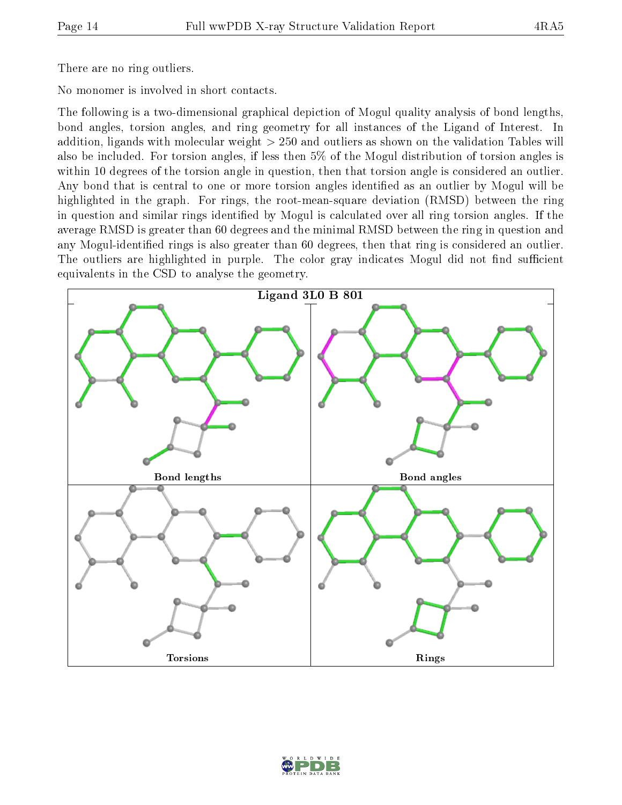There are no ring outliers.

No monomer is involved in short contacts.

The following is a two-dimensional graphical depiction of Mogul quality analysis of bond lengths, bond angles, torsion angles, and ring geometry for all instances of the Ligand of Interest. In addition, ligands with molecular weight > 250 and outliers as shown on the validation Tables will also be included. For torsion angles, if less then 5% of the Mogul distribution of torsion angles is within 10 degrees of the torsion angle in question, then that torsion angle is considered an outlier. Any bond that is central to one or more torsion angles identified as an outlier by Mogul will be highlighted in the graph. For rings, the root-mean-square deviation (RMSD) between the ring in question and similar rings identified by Mogul is calculated over all ring torsion angles. If the average RMSD is greater than 60 degrees and the minimal RMSD between the ring in question and any Mogul-identified rings is also greater than 60 degrees, then that ring is considered an outlier. The outliers are highlighted in purple. The color gray indicates Mogul did not find sufficient equivalents in the CSD to analyse the geometry.



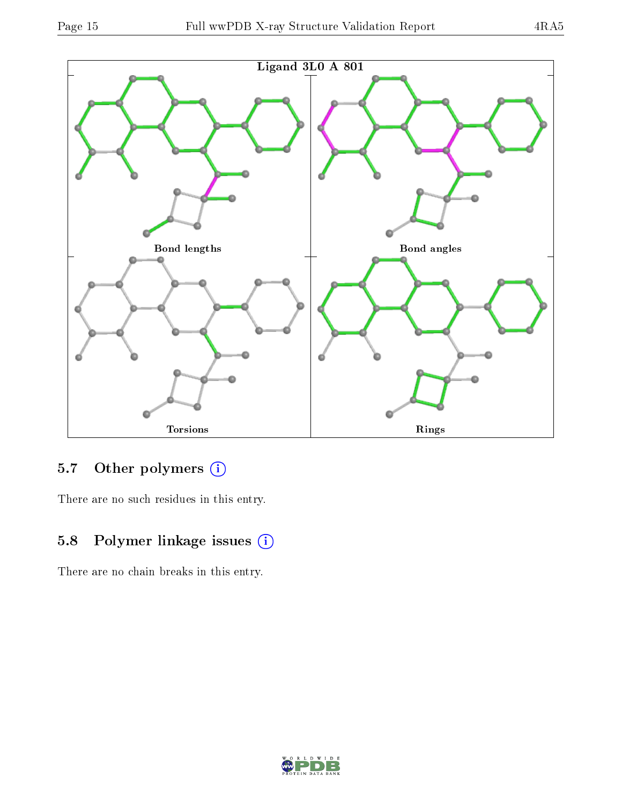

## 5.7 [O](https://www.wwpdb.org/validation/2017/XrayValidationReportHelp#nonstandard_residues_and_ligands)ther polymers (i)

There are no such residues in this entry.

## 5.8 Polymer linkage issues (i)

There are no chain breaks in this entry.

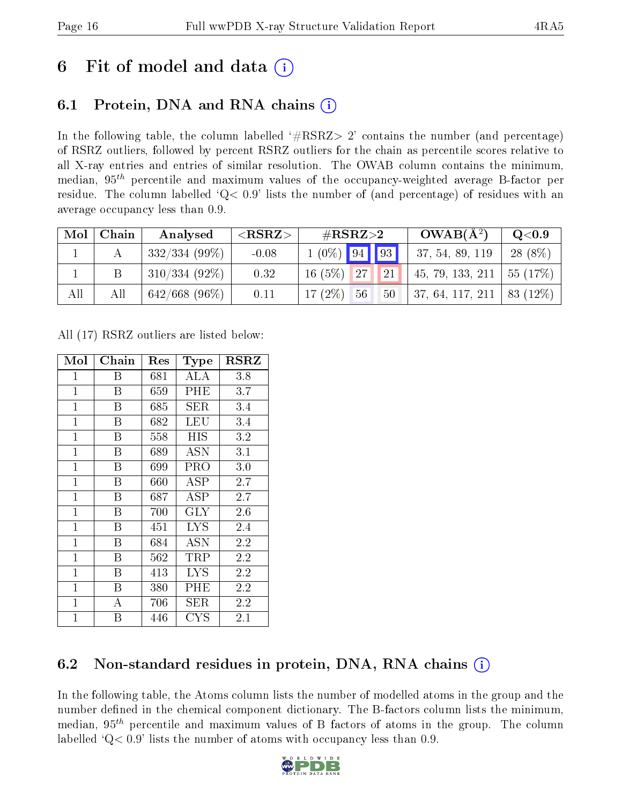## 6 Fit of model and data  $\left( \frac{1}{2} \right)$

## 6.1 Protein, DNA and RNA chains (i)

In the following table, the column labelled  $#RSRZ> 2'$  contains the number (and percentage) of RSRZ outliers, followed by percent RSRZ outliers for the chain as percentile scores relative to all X-ray entries and entries of similar resolution. The OWAB column contains the minimum, median,  $95<sup>th</sup>$  percentile and maximum values of the occupancy-weighted average B-factor per residue. The column labelled ' $Q< 0.9$ ' lists the number of (and percentage) of residues with an average occupancy less than 0.9.

| Mol | Chain | Analysed         | ${ <\hspace{-1.5pt}{\mathrm{RSRZ}} \hspace{-1.5pt}>}$ | $\#\text{RSRZ}\text{>2}$ | $OWAB(A^2)$      | Q <sub>0.9</sub> |
|-----|-------|------------------|-------------------------------------------------------|--------------------------|------------------|------------------|
|     |       | $332/334(99\%)$  | $-0.08$                                               | $1(0\%)$ 94 93           | 37, 54, 89, 119  | $28(8\%)$        |
|     |       | $310/334(92\%)$  | 0.32                                                  | 21 <br>16(5%)<br>27      | 45, 79, 133, 211 | 55 (17%)         |
| All |       | $642/668$ (96\%) | 0.11                                                  | 17 $(2\%)$<br>56<br>50   | 37, 64, 117, 211 | 83 (12\%)        |

All (17) RSRZ outliers are listed below:

| Mol          | ${\bf Chain}$ | $\operatorname{Res}% \left( \mathcal{N}\right) \equiv\operatorname{Res}(\mathcal{N}_{0})\cap\mathcal{N}_{1}$ | Type              | $_{\rm RSRZ}$ |
|--------------|---------------|--------------------------------------------------------------------------------------------------------------|-------------------|---------------|
| $\mathbf{1}$ | Β             | 681                                                                                                          | ALA               | 3.8           |
| $\mathbf{1}$ | B             | 659                                                                                                          | PHE               | 3.7           |
| $\mathbf{1}$ | B             | 685                                                                                                          | SER               | 3.4           |
| $\mathbf{1}$ | Β             | 682                                                                                                          | LEU               | 3.4           |
| $\mathbf{1}$ | B             | 558                                                                                                          | HIS               | 3.2           |
| $\mathbf{1}$ | Β             | 689                                                                                                          | ASN               | 3.1           |
| $\mathbf{1}$ | B             | 699                                                                                                          | PRO               | 3.0           |
| $\mathbf{1}$ | B             | 660                                                                                                          | $\rm{ASP}$        | $2.7\,$       |
| $\mathbf{1}$ | B             | 687                                                                                                          | ASP               | 2.7           |
| $\mathbf 1$  | B             | 700                                                                                                          | $\rm GLY$         | 2.6           |
| $\mathbf{1}$ | B             | 451                                                                                                          | <b>LYS</b>        | 2.4           |
| $\mathbf{1}$ | B             | 684                                                                                                          | ĀŠN               | 2.2           |
| $\mathbf{1}$ | B             | 562                                                                                                          | TRP               | 2.2           |
| $\mathbf{1}$ | B             | 413                                                                                                          | <b>LYS</b>        | 2.2           |
| $\mathbf{1}$ | B             | 380                                                                                                          | PHE               | 2.2           |
| $\mathbf 1$  | А             | 706                                                                                                          | SER               | 2.2           |
| $\mathbf{1}$ | Β             | 446                                                                                                          | $_{\mathrm{CYS}}$ | $2.1\,$       |

## 6.2 Non-standard residues in protein, DNA, RNA chains (i)

In the following table, the Atoms column lists the number of modelled atoms in the group and the number defined in the chemical component dictionary. The B-factors column lists the minimum, median,  $95<sup>th</sup>$  percentile and maximum values of B factors of atoms in the group. The column labelled 'Q< 0.9' lists the number of atoms with occupancy less than 0.9.

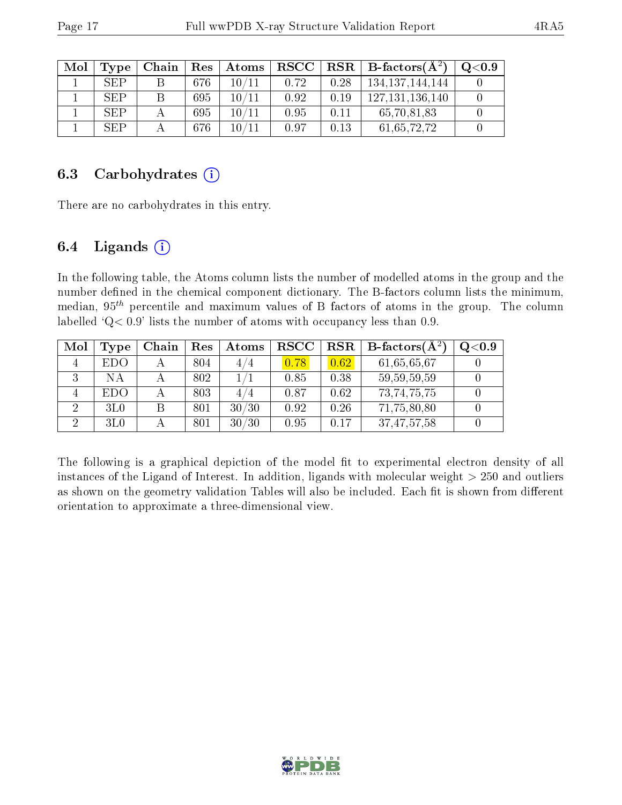| Mol | Type       | Chain | Res | Atoms       | $_{\rm RSCC}$ |      | $\text{RSR} \parallel \text{B-factors}(\AA^2)$ | Q <sub>0.9</sub> |
|-----|------------|-------|-----|-------------|---------------|------|------------------------------------------------|------------------|
|     | <b>SEP</b> |       | 676 | 10/11       | 0.72          | 0.28 | 134, 137, 144, 144                             |                  |
|     | <b>SEP</b> | В     | 695 | $10\, / 11$ | 0.92          | 0.19 | 127.131.136.140                                |                  |
|     | <b>SEP</b> |       | 695 | 10/11       | 0.95          | 0.11 | 65,70,81,83                                    |                  |
|     | <b>SEP</b> |       | 676 | 10/11       | 0.97          | 0.13 | 61, 65, 72, 72                                 |                  |

### 6.3 Carbohydrates  $(i)$

There are no carbohydrates in this entry.

### 6.4 Ligands  $(i)$

In the following table, the Atoms column lists the number of modelled atoms in the group and the number defined in the chemical component dictionary. The B-factors column lists the minimum, median,  $95<sup>th</sup>$  percentile and maximum values of B factors of atoms in the group. The column labelled 'Q< 0.9' lists the number of atoms with occupancy less than 0.9.

| Mol | Type            | Chain | Res | Atoms                | <b>RSCC</b> | <b>RSR</b> | <b>B</b> -factors( $\overline{A^2}$ ) | Q <sub>0.9</sub> |
|-----|-----------------|-------|-----|----------------------|-------------|------------|---------------------------------------|------------------|
|     | EDO             |       | 804 | 4 / 4                | 0.78        | 0.62       | 61,65,65,67                           |                  |
| ۰.) | NΑ              |       | 802 |                      | 0.85        | 0.38       | 59, 59, 59, 59                        |                  |
|     | EDO             |       | 803 | /4<br>4 <sub>1</sub> | 0.87        | 0.62       | 73, 74, 75, 75                        |                  |
| 2   | 3L <sub>0</sub> |       | 801 | 30/30                | 0.92        | 0.26       | 71,75,80,80                           |                  |
|     | 3L <sub>0</sub> |       | 801 | 30/30                | 0.95        | 0.17       | 37, 47, 57, 58                        |                  |

The following is a graphical depiction of the model fit to experimental electron density of all instances of the Ligand of Interest. In addition, ligands with molecular weight  $> 250$  and outliers as shown on the geometry validation Tables will also be included. Each fit is shown from different orientation to approximate a three-dimensional view.

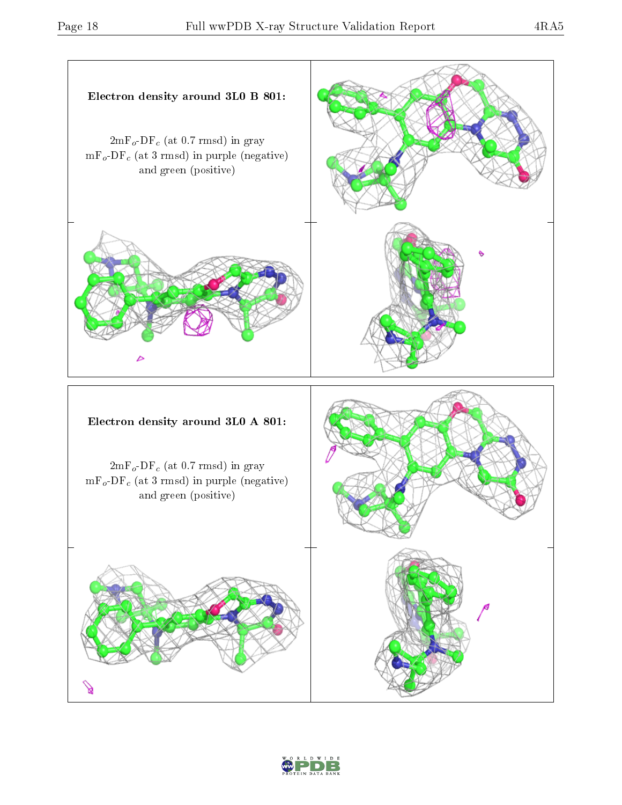